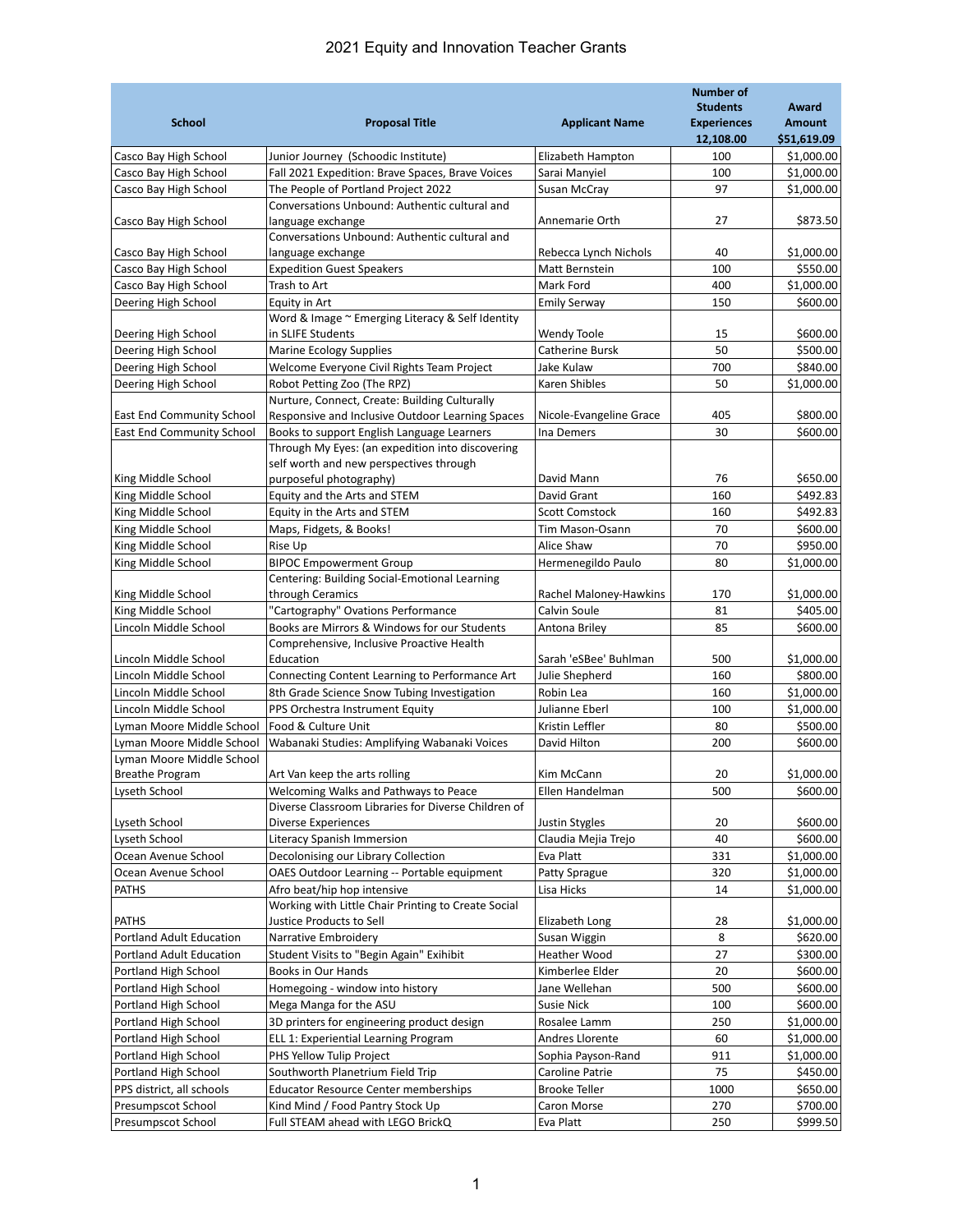## 2021 Equity and Innovation Teacher Grants

| <b>School</b>                                  | <b>Proposal Title</b>                                                      | <b>Applicant Name</b>                   | <b>Number of</b><br><b>Students</b><br><b>Experiences</b> | Award<br><b>Amount</b>   |
|------------------------------------------------|----------------------------------------------------------------------------|-----------------------------------------|-----------------------------------------------------------|--------------------------|
|                                                |                                                                            |                                         | 12,108.00                                                 | \$51,619.09              |
| Casco Bay High School                          | Junior Journey (Schoodic Institute)                                        | Elizabeth Hampton                       | 100                                                       | \$1,000.00               |
| Casco Bay High School                          | Fall 2021 Expedition: Brave Spaces, Brave Voices                           | Sarai Manyiel                           | 100                                                       | \$1,000.00               |
| Casco Bay High School                          | The People of Portland Project 2022                                        | Susan McCray                            | 97                                                        | \$1,000.00               |
|                                                | Conversations Unbound: Authentic cultural and                              |                                         |                                                           |                          |
| Casco Bay High School                          | language exchange                                                          | Annemarie Orth                          | 27                                                        | \$873.50                 |
|                                                | Conversations Unbound: Authentic cultural and                              |                                         |                                                           |                          |
| Casco Bay High School<br>Casco Bay High School | language exchange<br><b>Expedition Guest Speakers</b>                      | Rebecca Lynch Nichols<br>Matt Bernstein | 40<br>100                                                 | \$1,000.00<br>\$550.00   |
|                                                | Trash to Art                                                               | Mark Ford                               | 400                                                       | \$1,000.00               |
| Casco Bay High School<br>Deering High School   | Equity in Art                                                              | <b>Emily Serway</b>                     | 150                                                       | \$600.00                 |
|                                                | Word & Image ~ Emerging Literacy & Self Identity                           |                                         |                                                           |                          |
| Deering High School                            | in SLIFE Students                                                          | <b>Wendy Toole</b>                      | 15                                                        | \$600.00                 |
| Deering High School                            | <b>Marine Ecology Supplies</b>                                             | Catherine Bursk                         | 50                                                        | \$500.00                 |
| Deering High School                            | Welcome Everyone Civil Rights Team Project                                 | Jake Kulaw                              | 700                                                       | \$840.00                 |
| Deering High School                            | Robot Petting Zoo (The RPZ)                                                | Karen Shibles                           | 50                                                        | \$1,000.00               |
|                                                | Nurture, Connect, Create: Building Culturally                              |                                         |                                                           |                          |
| <b>East End Community School</b>               | Responsive and Inclusive Outdoor Learning Spaces                           | Nicole-Evangeline Grace                 | 405                                                       | \$800.00                 |
| <b>East End Community School</b>               | Books to support English Language Learners                                 | Ina Demers                              | 30                                                        | \$600.00                 |
|                                                | Through My Eyes: (an expedition into discovering                           |                                         |                                                           |                          |
|                                                | self worth and new perspectives through                                    |                                         |                                                           |                          |
| King Middle School                             | purposeful photography)                                                    | David Mann                              | 76                                                        | \$650.00                 |
| King Middle School                             | Equity and the Arts and STEM                                               | David Grant                             | 160                                                       | \$492.83                 |
| King Middle School                             | Equity in the Arts and STEM                                                | <b>Scott Comstock</b>                   | 160                                                       | \$492.83                 |
| King Middle School                             | Maps, Fidgets, & Books!                                                    | Tim Mason-Osann                         | 70                                                        | \$600.00                 |
| King Middle School                             | Rise Up                                                                    | Alice Shaw                              | 70                                                        | \$950.00                 |
| King Middle School                             | <b>BIPOC Empowerment Group</b>                                             | Hermenegildo Paulo                      | 80                                                        | \$1,000.00               |
|                                                | Centering: Building Social-Emotional Learning                              |                                         | 170                                                       | \$1,000.00               |
| King Middle School<br>King Middle School       | through Ceramics<br>"Cartography" Ovations Performance                     | Rachel Maloney-Hawkins<br>Calvin Soule  | 81                                                        | \$405.00                 |
| Lincoln Middle School                          | Books are Mirrors & Windows for our Students                               | Antona Briley                           | 85                                                        | \$600.00                 |
|                                                | Comprehensive, Inclusive Proactive Health                                  |                                         |                                                           |                          |
| Lincoln Middle School                          | Education                                                                  | Sarah 'eSBee' Buhlman                   | 500                                                       | \$1,000.00               |
| Lincoln Middle School                          | Connecting Content Learning to Performance Art                             | Julie Shepherd                          | 160                                                       | \$800.00                 |
| Lincoln Middle School                          | 8th Grade Science Snow Tubing Investigation                                | Robin Lea                               | 160                                                       | \$1,000.00               |
| Lincoln Middle School                          | PPS Orchestra Instrument Equity                                            | Julianne Eberl                          | 100                                                       | \$1,000.00               |
| Lyman Moore Middle School                      | Food & Culture Unit                                                        | Kristin Leffler                         | 80                                                        | \$500.00                 |
| Lyman Moore Middle School                      | Wabanaki Studies: Amplifying Wabanaki Voices                               | David Hilton                            | 200                                                       | \$600.00                 |
| Lyman Moore Middle School                      |                                                                            |                                         |                                                           |                          |
| <b>Breathe Program</b>                         | Art Van keep the arts rolling                                              | Kim McCann                              | 20                                                        | \$1.000.00               |
| Lyseth School                                  | Welcoming Walks and Pathways to Peace                                      | Ellen Handelman                         | 500                                                       | \$600.00                 |
|                                                | Diverse Classroom Libraries for Diverse Children of                        |                                         |                                                           |                          |
| Lyseth School                                  | Diverse Experiences                                                        | Justin Stygles                          | 20                                                        | \$600.00                 |
| Lyseth School                                  | Literacy Spanish Immersion                                                 | Claudia Mejia Trejo                     | 40                                                        | \$600.00                 |
| Ocean Avenue School                            | Decolonising our Library Collection                                        | Eva Platt                               | 331                                                       | \$1,000.00<br>\$1,000.00 |
| Ocean Avenue School<br><b>PATHS</b>            | OAES Outdoor Learning -- Portable equipment<br>Afro beat/hip hop intensive | Patty Sprague<br>Lisa Hicks             | 320<br>14                                                 | \$1,000.00               |
|                                                | Working with Little Chair Printing to Create Social                        |                                         |                                                           |                          |
| <b>PATHS</b>                                   | Justice Products to Sell                                                   | Elizabeth Long                          | 28                                                        | \$1,000.00               |
| Portland Adult Education                       | Narrative Embroidery                                                       | Susan Wiggin                            | 8                                                         | \$620.00                 |
| Portland Adult Education                       | Student Visits to "Begin Again" Exihibit                                   | Heather Wood                            | 27                                                        | \$300.00                 |
| Portland High School                           | Books in Our Hands                                                         | Kimberlee Elder                         | 20                                                        | \$600.00                 |
| Portland High School                           | Homegoing - window into history                                            | Jane Wellehan                           | 500                                                       | \$600.00                 |
| Portland High School                           | Mega Manga for the ASU                                                     | Susie Nick                              | 100                                                       | \$600.00                 |
| Portland High School                           | 3D printers for engineering product design                                 | Rosalee Lamm                            | 250                                                       | \$1,000.00               |
| Portland High School                           | ELL 1: Experiential Learning Program                                       | Andres Llorente                         | 60                                                        | \$1,000.00               |
| Portland High School                           | PHS Yellow Tulip Project                                                   | Sophia Payson-Rand                      | 911                                                       | \$1,000.00               |
| Portland High School                           | Southworth Planetrium Field Trip                                           | Caroline Patrie                         | 75                                                        | \$450.00                 |
| PPS district, all schools                      | Educator Resource Center memberships                                       | <b>Brooke Teller</b>                    | 1000                                                      | \$650.00                 |
| Presumpscot School                             | Kind Mind / Food Pantry Stock Up                                           | Caron Morse                             | 270                                                       | \$700.00                 |
| Presumpscot School                             | Full STEAM ahead with LEGO BrickQ                                          | Eva Platt                               | 250                                                       | \$999.50                 |